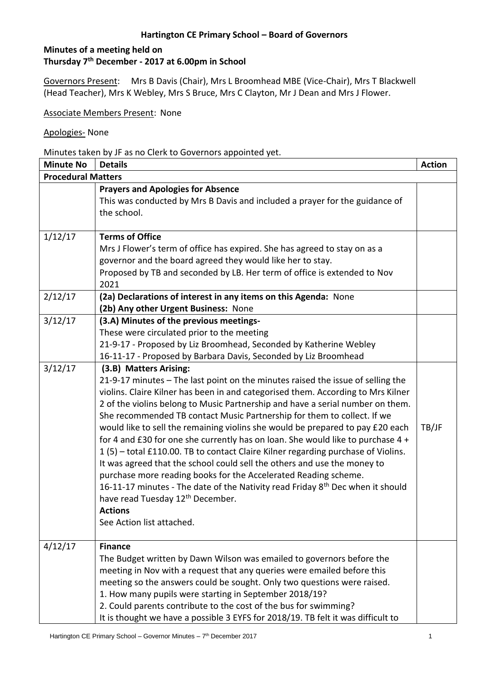## **Minutes of a meeting held on Thursday 7th December - 2017 at 6.00pm in School**

Governors Present: Mrs B Davis (Chair), Mrs L Broomhead MBE (Vice-Chair), Mrs T Blackwell (Head Teacher), Mrs K Webley, Mrs S Bruce, Mrs C Clayton, Mr J Dean and Mrs J Flower.

Associate Members Present: None

#### Apologies- None

Minutes taken by JF as no Clerk to Governors appointed yet.

| <b>Minute No</b>          | <b>Details</b>                                                                                                                                                                                                                                                                                                                                                                                                                                                                                                                                                                                                                                                                                                                                                                                                                                                                                                                                                  | <b>Action</b> |
|---------------------------|-----------------------------------------------------------------------------------------------------------------------------------------------------------------------------------------------------------------------------------------------------------------------------------------------------------------------------------------------------------------------------------------------------------------------------------------------------------------------------------------------------------------------------------------------------------------------------------------------------------------------------------------------------------------------------------------------------------------------------------------------------------------------------------------------------------------------------------------------------------------------------------------------------------------------------------------------------------------|---------------|
| <b>Procedural Matters</b> |                                                                                                                                                                                                                                                                                                                                                                                                                                                                                                                                                                                                                                                                                                                                                                                                                                                                                                                                                                 |               |
|                           | <b>Prayers and Apologies for Absence</b><br>This was conducted by Mrs B Davis and included a prayer for the guidance of<br>the school.                                                                                                                                                                                                                                                                                                                                                                                                                                                                                                                                                                                                                                                                                                                                                                                                                          |               |
| 1/12/17                   | <b>Terms of Office</b><br>Mrs J Flower's term of office has expired. She has agreed to stay on as a<br>governor and the board agreed they would like her to stay.<br>Proposed by TB and seconded by LB. Her term of office is extended to Nov<br>2021                                                                                                                                                                                                                                                                                                                                                                                                                                                                                                                                                                                                                                                                                                           |               |
| 2/12/17                   | (2a) Declarations of interest in any items on this Agenda: None<br>(2b) Any other Urgent Business: None                                                                                                                                                                                                                                                                                                                                                                                                                                                                                                                                                                                                                                                                                                                                                                                                                                                         |               |
| 3/12/17                   | (3.A) Minutes of the previous meetings-<br>These were circulated prior to the meeting<br>21-9-17 - Proposed by Liz Broomhead, Seconded by Katherine Webley<br>16-11-17 - Proposed by Barbara Davis, Seconded by Liz Broomhead                                                                                                                                                                                                                                                                                                                                                                                                                                                                                                                                                                                                                                                                                                                                   |               |
| 3/12/17                   | (3.B) Matters Arising:<br>21-9-17 minutes - The last point on the minutes raised the issue of selling the<br>violins. Claire Kilner has been in and categorised them. According to Mrs Kilner<br>2 of the violins belong to Music Partnership and have a serial number on them.<br>She recommended TB contact Music Partnership for them to collect. If we<br>would like to sell the remaining violins she would be prepared to pay £20 each<br>for 4 and £30 for one she currently has on loan. She would like to purchase 4 +<br>1(5) - total £110.00. TB to contact Claire Kilner regarding purchase of Violins.<br>It was agreed that the school could sell the others and use the money to<br>purchase more reading books for the Accelerated Reading scheme.<br>16-11-17 minutes - The date of the Nativity read Friday 8 <sup>th</sup> Dec when it should<br>have read Tuesday 12 <sup>th</sup> December.<br><b>Actions</b><br>See Action list attached. | TB/JF         |
| 4/12/17                   | <b>Finance</b><br>The Budget written by Dawn Wilson was emailed to governors before the<br>meeting in Nov with a request that any queries were emailed before this<br>meeting so the answers could be sought. Only two questions were raised.<br>1. How many pupils were starting in September 2018/19?<br>2. Could parents contribute to the cost of the bus for swimming?<br>It is thought we have a possible 3 EYFS for 2018/19. TB felt it was difficult to                                                                                                                                                                                                                                                                                                                                                                                                                                                                                                 |               |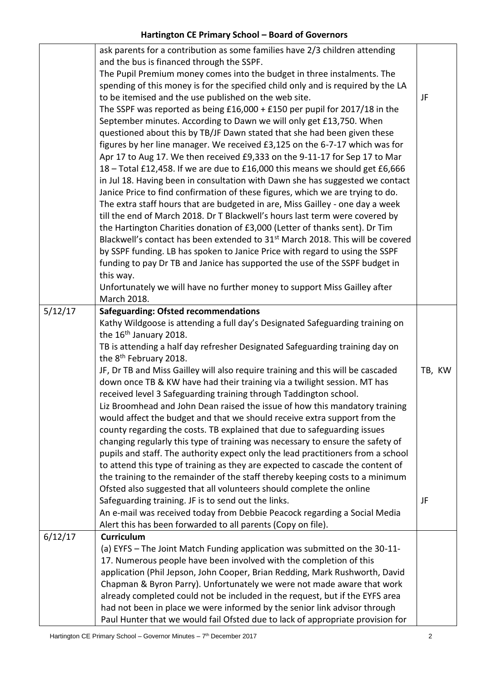|         | ask parents for a contribution as some families have 2/3 children attending                                                      |        |
|---------|----------------------------------------------------------------------------------------------------------------------------------|--------|
|         | and the bus is financed through the SSPF.                                                                                        |        |
|         | The Pupil Premium money comes into the budget in three instalments. The                                                          |        |
|         | spending of this money is for the specified child only and is required by the LA                                                 |        |
|         | to be itemised and the use published on the web site.                                                                            | JF     |
|         | The SSPF was reported as being $£16,000 + £150$ per pupil for 2017/18 in the                                                     |        |
|         | September minutes. According to Dawn we will only get £13,750. When                                                              |        |
|         | questioned about this by TB/JF Dawn stated that she had been given these                                                         |        |
|         | figures by her line manager. We received £3,125 on the 6-7-17 which was for                                                      |        |
|         | Apr 17 to Aug 17. We then received £9,333 on the 9-11-17 for Sep 17 to Mar                                                       |        |
|         | 18 - Total £12,458. If we are due to £16,000 this means we should get £6,666                                                     |        |
|         | in Jul 18. Having been in consultation with Dawn she has suggested we contact                                                    |        |
|         | Janice Price to find confirmation of these figures, which we are trying to do.                                                   |        |
|         | The extra staff hours that are budgeted in are, Miss Gailley - one day a week                                                    |        |
|         | till the end of March 2018. Dr T Blackwell's hours last term were covered by                                                     |        |
|         | the Hartington Charities donation of £3,000 (Letter of thanks sent). Dr Tim                                                      |        |
|         | Blackwell's contact has been extended to 31 <sup>st</sup> March 2018. This will be covered                                       |        |
|         | by SSPF funding. LB has spoken to Janice Price with regard to using the SSPF                                                     |        |
|         | funding to pay Dr TB and Janice has supported the use of the SSPF budget in                                                      |        |
|         | this way.                                                                                                                        |        |
|         | Unfortunately we will have no further money to support Miss Gailley after                                                        |        |
|         | March 2018.                                                                                                                      |        |
| 5/12/17 | <b>Safeguarding: Ofsted recommendations</b>                                                                                      |        |
|         | Kathy Wildgoose is attending a full day's Designated Safeguarding training on                                                    |        |
|         | the 16 <sup>th</sup> January 2018.                                                                                               |        |
|         | TB is attending a half day refresher Designated Safeguarding training day on                                                     |        |
|         | the 8 <sup>th</sup> February 2018.                                                                                               |        |
|         | JF, Dr TB and Miss Gailley will also require training and this will be cascaded                                                  | TB, KW |
|         | down once TB & KW have had their training via a twilight session. MT has                                                         |        |
|         | received level 3 Safeguarding training through Taddington school.                                                                |        |
|         | Liz Broomhead and John Dean raised the issue of how this mandatory training                                                      |        |
|         | would affect the budget and that we should receive extra support from the                                                        |        |
|         | county regarding the costs. TB explained that due to safeguarding issues                                                         |        |
|         | changing regularly this type of training was necessary to ensure the safety of                                                   |        |
|         | pupils and staff. The authority expect only the lead practitioners from a school                                                 |        |
|         | to attend this type of training as they are expected to cascade the content of                                                   |        |
|         | the training to the remainder of the staff thereby keeping costs to a minimum                                                    |        |
|         | Ofsted also suggested that all volunteers should complete the online                                                             |        |
|         |                                                                                                                                  | JF     |
|         | Safeguarding training. JF is to send out the links.<br>An e-mail was received today from Debbie Peacock regarding a Social Media |        |
|         |                                                                                                                                  |        |
| 6/12/17 | Alert this has been forwarded to all parents (Copy on file).<br><b>Curriculum</b>                                                |        |
|         |                                                                                                                                  |        |
|         | (a) EYFS - The Joint Match Funding application was submitted on the 30-11-                                                       |        |
|         | 17. Numerous people have been involved with the completion of this                                                               |        |
|         | application (Phil Jepson, John Cooper, Brian Redding, Mark Rushworth, David                                                      |        |
|         | Chapman & Byron Parry). Unfortunately we were not made aware that work                                                           |        |
|         | already completed could not be included in the request, but if the EYFS area                                                     |        |
|         | had not been in place we were informed by the senior link advisor through                                                        |        |
|         | Paul Hunter that we would fail Ofsted due to lack of appropriate provision for                                                   |        |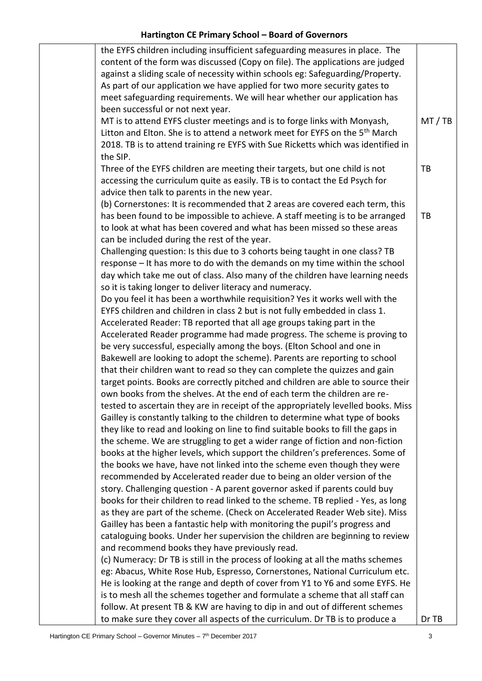| the EYFS children including insufficient safeguarding measures in place. The            |         |
|-----------------------------------------------------------------------------------------|---------|
| content of the form was discussed (Copy on file). The applications are judged           |         |
| against a sliding scale of necessity within schools eg: Safeguarding/Property.          |         |
| As part of our application we have applied for two more security gates to               |         |
| meet safeguarding requirements. We will hear whether our application has                |         |
| been successful or not next year.                                                       |         |
| MT is to attend EYFS cluster meetings and is to forge links with Monyash,               | MT / TB |
| Litton and Elton. She is to attend a network meet for EYFS on the 5 <sup>th</sup> March |         |
| 2018. TB is to attend training re EYFS with Sue Ricketts which was identified in        |         |
| the SIP.                                                                                |         |
| Three of the EYFS children are meeting their targets, but one child is not              | TB      |
| accessing the curriculum quite as easily. TB is to contact the Ed Psych for             |         |
| advice then talk to parents in the new year.                                            |         |
| (b) Cornerstones: It is recommended that 2 areas are covered each term, this            |         |
| has been found to be impossible to achieve. A staff meeting is to be arranged           | TB      |
| to look at what has been covered and what has been missed so these areas                |         |
|                                                                                         |         |
| can be included during the rest of the year.                                            |         |
| Challenging question: Is this due to 3 cohorts being taught in one class? TB            |         |
| response - It has more to do with the demands on my time within the school              |         |
| day which take me out of class. Also many of the children have learning needs           |         |
| so it is taking longer to deliver literacy and numeracy.                                |         |
| Do you feel it has been a worthwhile requisition? Yes it works well with the            |         |
| EYFS children and children in class 2 but is not fully embedded in class 1.             |         |
| Accelerated Reader: TB reported that all age groups taking part in the                  |         |
| Accelerated Reader programme had made progress. The scheme is proving to                |         |
| be very successful, especially among the boys. (Elton School and one in                 |         |
| Bakewell are looking to adopt the scheme). Parents are reporting to school              |         |
| that their children want to read so they can complete the quizzes and gain              |         |
| target points. Books are correctly pitched and children are able to source their        |         |
| own books from the shelves. At the end of each term the children are re-                |         |
| tested to ascertain they are in receipt of the appropriately levelled books. Miss       |         |
| Gailley is constantly talking to the children to determine what type of books           |         |
| they like to read and looking on line to find suitable books to fill the gaps in        |         |
| the scheme. We are struggling to get a wider range of fiction and non-fiction           |         |
| books at the higher levels, which support the children's preferences. Some of           |         |
| the books we have, have not linked into the scheme even though they were                |         |
| recommended by Accelerated reader due to being an older version of the                  |         |
| story. Challenging question - A parent governor asked if parents could buy              |         |
| books for their children to read linked to the scheme. TB replied - Yes, as long        |         |
| as they are part of the scheme. (Check on Accelerated Reader Web site). Miss            |         |
| Gailley has been a fantastic help with monitoring the pupil's progress and              |         |
| cataloguing books. Under her supervision the children are beginning to review           |         |
| and recommend books they have previously read.                                          |         |
| (c) Numeracy: Dr TB is still in the process of looking at all the maths schemes         |         |
| eg: Abacus, White Rose Hub, Espresso, Cornerstones, National Curriculum etc.            |         |
| He is looking at the range and depth of cover from Y1 to Y6 and some EYFS. He           |         |
| is to mesh all the schemes together and formulate a scheme that all staff can           |         |
| follow. At present TB & KW are having to dip in and out of different schemes            |         |
|                                                                                         |         |
| to make sure they cover all aspects of the curriculum. Dr TB is to produce a            | Dr TB   |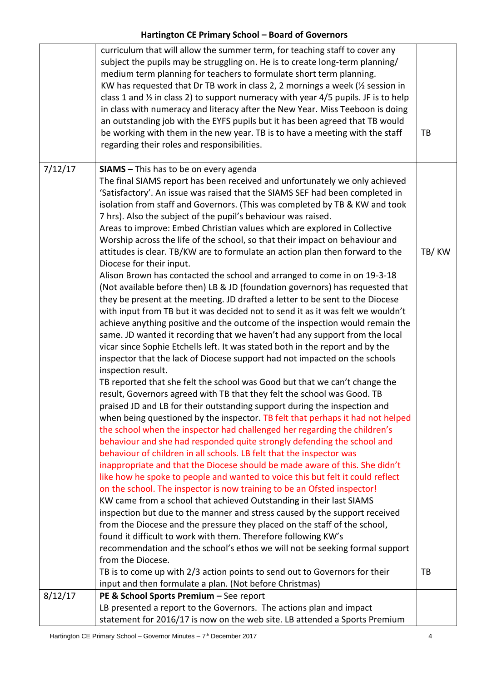|         | curriculum that will allow the summer term, for teaching staff to cover any<br>subject the pupils may be struggling on. He is to create long-term planning/<br>medium term planning for teachers to formulate short term planning.<br>KW has requested that Dr TB work in class 2, 2 mornings a week (1/2 session in<br>class 1 and 1/2 in class 2) to support numeracy with year 4/5 pupils. JF is to help                                                                                                                                                                                                                                                                                                                                                                                                                                                                                                                                                                                                                                                                                                                                                                                                                                                                                                                                                                                               |       |
|---------|-----------------------------------------------------------------------------------------------------------------------------------------------------------------------------------------------------------------------------------------------------------------------------------------------------------------------------------------------------------------------------------------------------------------------------------------------------------------------------------------------------------------------------------------------------------------------------------------------------------------------------------------------------------------------------------------------------------------------------------------------------------------------------------------------------------------------------------------------------------------------------------------------------------------------------------------------------------------------------------------------------------------------------------------------------------------------------------------------------------------------------------------------------------------------------------------------------------------------------------------------------------------------------------------------------------------------------------------------------------------------------------------------------------|-------|
|         | in class with numeracy and literacy after the New Year. Miss Teeboon is doing<br>an outstanding job with the EYFS pupils but it has been agreed that TB would<br>be working with them in the new year. TB is to have a meeting with the staff<br>regarding their roles and responsibilities.                                                                                                                                                                                                                                                                                                                                                                                                                                                                                                                                                                                                                                                                                                                                                                                                                                                                                                                                                                                                                                                                                                              | TB    |
| 7/12/17 | <b>SIAMS</b> - This has to be on every agenda<br>The final SIAMS report has been received and unfortunately we only achieved<br>'Satisfactory'. An issue was raised that the SIAMS SEF had been completed in<br>isolation from staff and Governors. (This was completed by TB & KW and took<br>7 hrs). Also the subject of the pupil's behaviour was raised.<br>Areas to improve: Embed Christian values which are explored in Collective<br>Worship across the life of the school, so that their impact on behaviour and<br>attitudes is clear. TB/KW are to formulate an action plan then forward to the<br>Diocese for their input.<br>Alison Brown has contacted the school and arranged to come in on 19-3-18<br>(Not available before then) LB & JD (foundation governors) has requested that<br>they be present at the meeting. JD drafted a letter to be sent to the Diocese<br>with input from TB but it was decided not to send it as it was felt we wouldn't<br>achieve anything positive and the outcome of the inspection would remain the<br>same. JD wanted it recording that we haven't had any support from the local<br>vicar since Sophie Etchells left. It was stated both in the report and by the<br>inspector that the lack of Diocese support had not impacted on the schools<br>inspection result.<br>TB reported that she felt the school was Good but that we can't change the | TB/KW |
|         | result, Governors agreed with TB that they felt the school was Good. TB<br>praised JD and LB for their outstanding support during the inspection and<br>when being questioned by the inspector. TB felt that perhaps it had not helped<br>the school when the inspector had challenged her regarding the children's<br>behaviour and she had responded quite strongly defending the school and<br>behaviour of children in all schools. LB felt that the inspector was<br>inappropriate and that the Diocese should be made aware of this. She didn't<br>like how he spoke to people and wanted to voice this but felt it could reflect<br>on the school. The inspector is now training to be an Ofsted inspector!<br>KW came from a school that achieved Outstanding in their last SIAMS<br>inspection but due to the manner and stress caused by the support received<br>from the Diocese and the pressure they placed on the staff of the school,<br>found it difficult to work with them. Therefore following KW's<br>recommendation and the school's ethos we will not be seeking formal support<br>from the Diocese.<br>TB is to come up with 2/3 action points to send out to Governors for their<br>input and then formulate a plan. (Not before Christmas)                                                                                                                                       | TB    |
| 8/12/17 | PE & School Sports Premium - See report<br>LB presented a report to the Governors. The actions plan and impact<br>statement for 2016/17 is now on the web site. LB attended a Sports Premium                                                                                                                                                                                                                                                                                                                                                                                                                                                                                                                                                                                                                                                                                                                                                                                                                                                                                                                                                                                                                                                                                                                                                                                                              |       |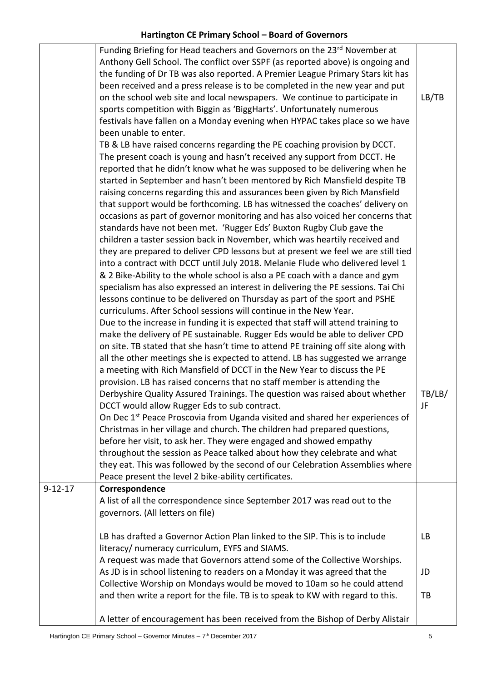|               | Funding Briefing for Head teachers and Governors on the 23rd November at                 |           |
|---------------|------------------------------------------------------------------------------------------|-----------|
|               | Anthony Gell School. The conflict over SSPF (as reported above) is ongoing and           |           |
|               | the funding of Dr TB was also reported. A Premier League Primary Stars kit has           |           |
|               | been received and a press release is to be completed in the new year and put             |           |
|               | on the school web site and local newspapers. We continue to participate in               | LB/TB     |
|               | sports competition with Biggin as 'BiggHarts'. Unfortunately numerous                    |           |
|               | festivals have fallen on a Monday evening when HYPAC takes place so we have              |           |
|               | been unable to enter.                                                                    |           |
|               | TB & LB have raised concerns regarding the PE coaching provision by DCCT.                |           |
|               | The present coach is young and hasn't received any support from DCCT. He                 |           |
|               | reported that he didn't know what he was supposed to be delivering when he               |           |
|               | started in September and hasn't been mentored by Rich Mansfield despite TB               |           |
|               | raising concerns regarding this and assurances been given by Rich Mansfield              |           |
|               | that support would be forthcoming. LB has witnessed the coaches' delivery on             |           |
|               | occasions as part of governor monitoring and has also voiced her concerns that           |           |
|               | standards have not been met. 'Rugger Eds' Buxton Rugby Club gave the                     |           |
|               | children a taster session back in November, which was heartily received and              |           |
|               | they are prepared to deliver CPD lessons but at present we feel we are still tied        |           |
|               | into a contract with DCCT until July 2018. Melanie Flude who delivered level 1           |           |
|               | & 2 Bike-Ability to the whole school is also a PE coach with a dance and gym             |           |
|               | specialism has also expressed an interest in delivering the PE sessions. Tai Chi         |           |
|               | lessons continue to be delivered on Thursday as part of the sport and PSHE               |           |
|               | curriculums. After School sessions will continue in the New Year.                        |           |
|               | Due to the increase in funding it is expected that staff will attend training to         |           |
|               | make the delivery of PE sustainable. Rugger Eds would be able to deliver CPD             |           |
|               | on site. TB stated that she hasn't time to attend PE training off site along with        |           |
|               | all the other meetings she is expected to attend. LB has suggested we arrange            |           |
|               | a meeting with Rich Mansfield of DCCT in the New Year to discuss the PE                  |           |
|               | provision. LB has raised concerns that no staff member is attending the                  |           |
|               | Derbyshire Quality Assured Trainings. The question was raised about whether              | TB/LB/    |
|               | DCCT would allow Rugger Eds to sub contract.                                             | JF.       |
|               | On Dec 1 <sup>st</sup> Peace Proscovia from Uganda visited and shared her experiences of |           |
|               | Christmas in her village and church. The children had prepared questions,                |           |
|               | before her visit, to ask her. They were engaged and showed empathy                       |           |
|               | throughout the session as Peace talked about how they celebrate and what                 |           |
|               | they eat. This was followed by the second of our Celebration Assemblies where            |           |
|               | Peace present the level 2 bike-ability certificates.                                     |           |
| $9 - 12 - 17$ | Correspondence                                                                           |           |
|               | A list of all the correspondence since September 2017 was read out to the                |           |
|               | governors. (All letters on file)                                                         |           |
|               |                                                                                          |           |
|               | LB has drafted a Governor Action Plan linked to the SIP. This is to include              | <b>LB</b> |
|               | literacy/ numeracy curriculum, EYFS and SIAMS.                                           |           |
|               | A request was made that Governors attend some of the Collective Worships.                |           |
|               | As JD is in school listening to readers on a Monday it was agreed that the               | JD        |
|               | Collective Worship on Mondays would be moved to 10am so he could attend                  |           |
|               | and then write a report for the file. TB is to speak to KW with regard to this.          | TB        |
|               |                                                                                          |           |
|               | A letter of encouragement has been received from the Bishop of Derby Alistair            |           |